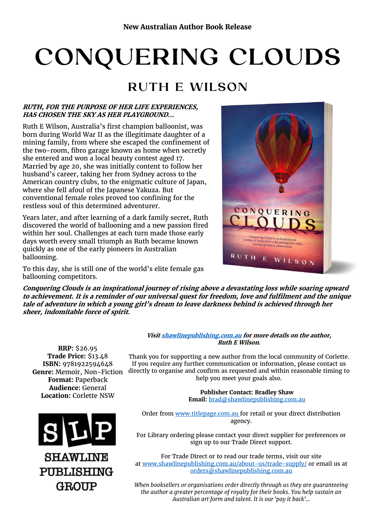# CONQUERING CLOUDS

# RUTH E WILSON

#### **RUTH, FOR THE PURPOSE OF HER LIFE EXPERIENCES, HAS CHOSEN THE SKY AS HER PLAYGROUND...**

Ruth E Wilson, Australia's first champion balloonist, was born during World War II as the illegitimate daughter of a mining family, from where she escaped the confinement of the two-room, fibro garage known as home when secretly she entered and won a local beauty contest aged 17. Married by age 20, she was initially content to follow her husband's career, taking her from Sydney across to the American country clubs, to the enigmatic culture of Japan, where she fell afoul of the Japanese Yakuza. But conventional female roles proved too confining for the restless soul of this determined adventurer.

Years later, and after learning of a dark family secret, Ruth discovered the world of ballooning and a new passion fired within her soul. Challenges at each turn made those early days worth every small triumph as Ruth became known quickly as one of the early pioneers in Australian ballooning.



To this day, she is still one of the world's elite female gas ballooning competitors.

**Conquering Clouds is an inspirational journey of rising above a devastating loss while soaring upward to achievement. It is a reminder of our universal quest for freedom, love and fulfilment and the unique tale of adventure in which a young girl's dream to leave darkness behind is achieved through her sheer, indomitable force of spirit.**

**RRP:** \$26.95 **Trade Price:** \$13.48 **ISBN:** 9781922594648 **Genre:** Memoir, Non-Fiction **Format:** Paperback **Audience:** General **Location:** Corlette NSW



**SHAWLINE** PUBLISHING **GROUP** 

#### **Visi[t shawlinepublishing.com.au](https://www.shawlinepublishing.com.au/our-titles/non-fiction/display/168-conquering-clouds) for more details on the author, Ruth E Wilson.**

Thank you for supporting a new author from the local community of Corlette. If you require any further communication or information, please contact us directly to organise and confirm as requested and within reasonable timing to help you meet your goals also.

> **Publisher Contact: Bradley Shaw Email:** [brad@shawlinepublishing.com.au](mailto:brad@shawlinepublishing.com.au)

Order from [www.titlepage.com.au](http://www.titlepage.com.au/) for retail or your direct distribution agency.

For Library ordering please contact your direct supplier for preferences or sign up to our Trade Direct support.

For Trade Direct or to read our trade terms, visit our site at [www.shawlinepublishing.com.au/about-us/trade-supply/](http://www.shawlinepublishing.com.au/about-us/trade-supply/) or email us at [orders@shawlinepublishing.com.au](mailto:orders@shawlinepublishing.com.au)

*When booksellers or organisations order directly through us they are guaranteeing the author a greater percentage of royalty for their books. You help sustain an Australian art form and talent. It is our 'pay it back'...*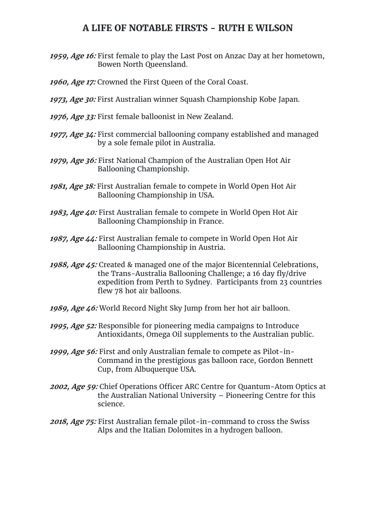## **A LIFE OF NOTABLE FIRSTS - RUTH E WILSON**

- **1959, Age 16:** First female to play the Last Post on Anzac Day at her hometown, Bowen North Queensland.
- **1960, Age 17:** Crowned the First Queen of the Coral Coast.
- **1973, Age 30:** First Australian winner Squash Championship Kobe Japan.
- **1976, Age 33:** First female balloonist in New Zealand.
- **1977, Age 34:** First commercial ballooning company established and managed by a sole female pilot in Australia.
- **1979, Age 36:** First National Champion of the Australian Open Hot Air Ballooning Championship.
- **1981, Age 38:** First Australian female to compete in World Open Hot Air Ballooning Championship in USA.
- **1983, Age 40:** First Australian female to compete in World Open Hot Air Ballooning Championship in France.
- **1987, Age 44:** First Australian female to compete in World Open Hot Air Ballooning Championship in Austria.
- **1988, Age 45:** Created & managed one of the major Bicentennial Celebrations, the Trans-Australia Ballooning Challenge; a 16 day fly/drive expedition from Perth to Sydney. Participants from 23 countries flew 78 hot air balloons.
- **1989, Age 46:** World Record Night Sky Jump from her hot air balloon.
- **1995, Age 52:** Responsible for pioneering media campaigns to Introduce Antioxidants, Omega Oil supplements to the Australian public.
- **1999, Age 56:** First and only Australian female to compete as Pilot-in-Command in the prestigious gas balloon race, Gordon Bennett Cup, from Albuquerque USA.
- **2002, Age 59:** Chief Operations Officer ARC Centre for Quantum-Atom Optics at the Australian National University – Pioneering Centre for this science.
- **2018, Age 75:** First Australian female pilot-in-command to cross the Swiss Alps and the Italian Dolomites in a hydrogen balloon.